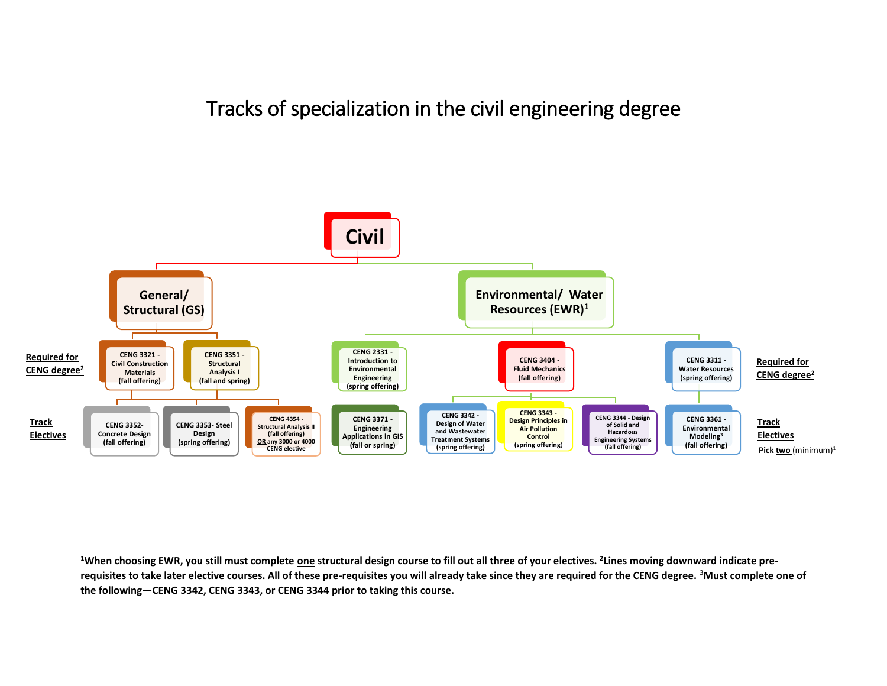## Tracks of specialization in the civil engineering degree



**<sup>1</sup>When choosing EWR, you still must complete one structural design course to fill out all three of your electives. <sup>2</sup> Lines moving downward indicate prerequisites to take later elective courses. All of these pre-requisites you will already take since they are required for the CENG degree.** <sup>3</sup>**Must complete one of the following—CENG 3342, CENG 3343, or CENG 3344 prior to taking this course.**